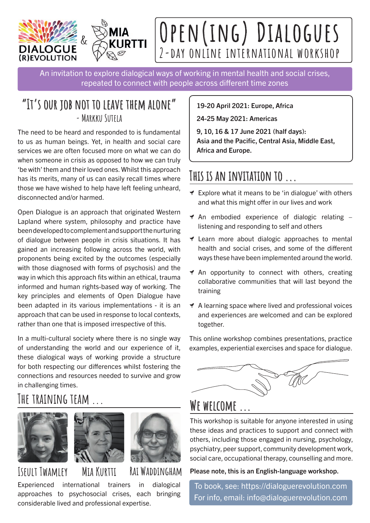



An invitation to explore dialogical ways of working in mental health and social crises, repeated to connect with people across different time zones

#### **"It's our job not to leave them alone" - Markku Sutela**

The need to be heard and responded to is fundamental to us as human beings. Yet, in health and social care services we are often focused more on what we can do when someone in crisis as opposed to how we can truly 'be with' them and their loved ones. Whilst this approach has its merits, many of us can easily recall times where those we have wished to help have left feeling unheard, disconnected and/or harmed.

Open Dialogue is an approach that originated Western Lapland where system, philosophy and practice have been developed to complement and support the nurturing of dialogue between people in crisis situations. It has gained an increasing following across the world, with proponents being excited by the outcomes (especially with those diagnosed with forms of psychosis) and the way in which this approach fits within an ethical, trauma informed and human rights-based way of working. The key principles and elements of Open Dialogue have been adapted in its various implementations - it is an approach that can be used in response to local contexts, rather than one that is imposed irrespective of this.

In a multi-cultural society where there is no single way of understanding the world and our experience of it, these dialogical ways of working provide a structure for both respecting our differences whilst fostering the connections and resources needed to survive and grow in challenging times.

# **The training team ...**





#### **Iseult Twamley Mia Kurtti Rai Waddingham** Experienced international trainers in dialogical approaches to psychosocial crises, each bringing considerable lived and professional expertise.

19-20 April 2021: Europe, Africa

24-25 May 2021: Americas

9, 10, 16 & 17 June 2021 (half days): Asia and the Pacific, Central Asia, Middle East, Africa and Europe.

## **This is an invitation to ...**

- $\blacktriangleright$  Explore what it means to be 'in dialogue' with others and what this might offer in our lives and work
- $\triangleleft$  An embodied experience of dialogic relating  $$ listening and responding to self and others
- $\blacktriangleright$  Learn more about dialogic approaches to mental health and social crises, and some of the different ways these have been implemented around the world.
- $\triangleleft$  An opportunity to connect with others, creating collaborative communities that will last beyond the training
- $\triangleleft$  A learning space where lived and professional voices and experiences are welcomed and can be explored together.

This online workshop combines presentations, practice examples, experiential exercises and space for dialogue.



# **We welcome ...**

This workshop is suitable for anyone interested in using these ideas and practices to support and connect with others, including those engaged in nursing, psychology, psychiatry, peer support, community development work, social care, occupational therapy, counselling and more.

#### Please note, this is an English-language workshop.

To book, see: https://dialoguerevolution.com For info, email: info@dialoguerevolution.com